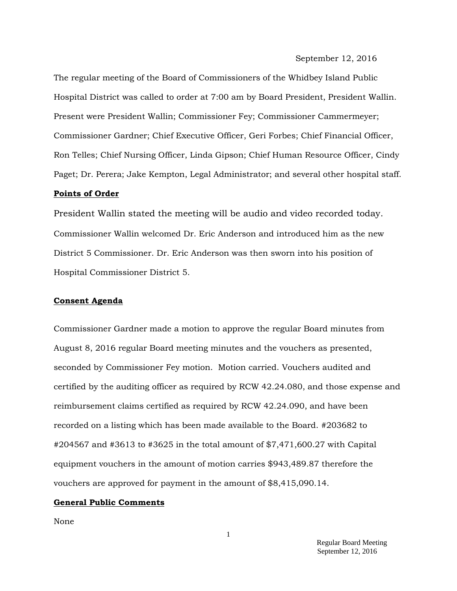September 12, 2016

The regular meeting of the Board of Commissioners of the Whidbey Island Public Hospital District was called to order at 7:00 am by Board President, President Wallin. Present were President Wallin; Commissioner Fey; Commissioner Cammermeyer; Commissioner Gardner; Chief Executive Officer, Geri Forbes; Chief Financial Officer, Ron Telles; Chief Nursing Officer, Linda Gipson; Chief Human Resource Officer, Cindy Paget; Dr. Perera; Jake Kempton, Legal Administrator; and several other hospital staff.

#### **Points of Order**

President Wallin stated the meeting will be audio and video recorded today. Commissioner Wallin welcomed Dr. Eric Anderson and introduced him as the new District 5 Commissioner. Dr. Eric Anderson was then sworn into his position of Hospital Commissioner District 5.

#### **Consent Agenda**

Commissioner Gardner made a motion to approve the regular Board minutes from August 8, 2016 regular Board meeting minutes and the vouchers as presented, seconded by Commissioner Fey motion. Motion carried. Vouchers audited and certified by the auditing officer as required by RCW 42.24.080, and those expense and reimbursement claims certified as required by RCW 42.24.090, and have been recorded on a listing which has been made available to the Board. #203682 to #204567 and #3613 to #3625 in the total amount of \$7,471,600.27 with Capital equipment vouchers in the amount of motion carries \$943,489.87 therefore the vouchers are approved for payment in the amount of \$8,415,090.14.

#### **General Public Comments**

None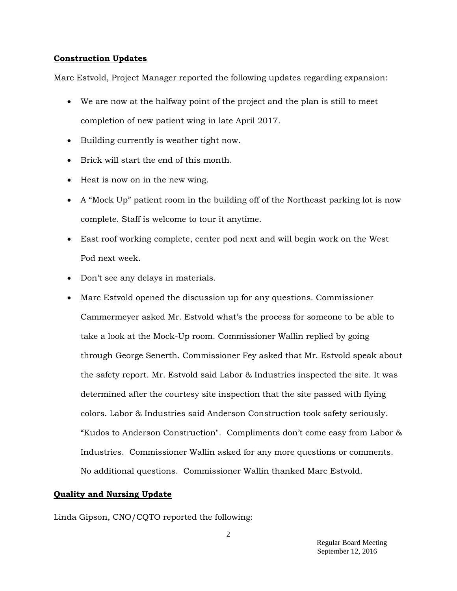#### **Construction Updates**

Marc Estvold, Project Manager reported the following updates regarding expansion:

- We are now at the halfway point of the project and the plan is still to meet completion of new patient wing in late April 2017.
- Building currently is weather tight now.
- Brick will start the end of this month.
- Heat is now on in the new wing.
- A "Mock Up" patient room in the building off of the Northeast parking lot is now complete. Staff is welcome to tour it anytime.
- East roof working complete, center pod next and will begin work on the West Pod next week.
- Don't see any delays in materials.
- Marc Estvold opened the discussion up for any questions. Commissioner Cammermeyer asked Mr. Estvold what's the process for someone to be able to take a look at the Mock-Up room. Commissioner Wallin replied by going through George Senerth. Commissioner Fey asked that Mr. Estvold speak about the safety report. Mr. Estvold said Labor & Industries inspected the site. It was determined after the courtesy site inspection that the site passed with flying colors. Labor & Industries said Anderson Construction took safety seriously. "Kudos to Anderson Construction". Compliments don't come easy from Labor & Industries. Commissioner Wallin asked for any more questions or comments. No additional questions. Commissioner Wallin thanked Marc Estvold.

# **Quality and Nursing Update**

Linda Gipson, CNO/CQTO reported the following: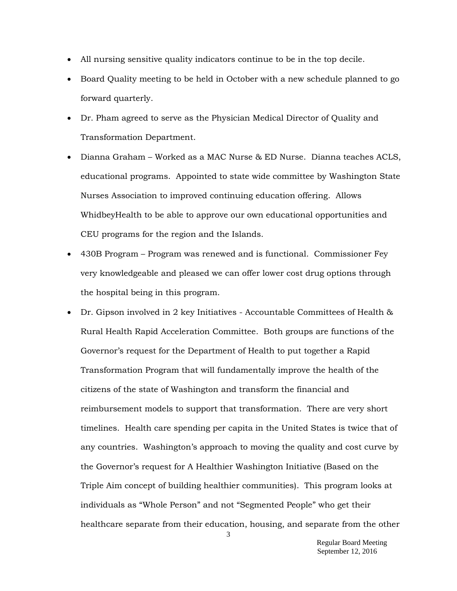- All nursing sensitive quality indicators continue to be in the top decile.
- Board Quality meeting to be held in October with a new schedule planned to go forward quarterly.
- Dr. Pham agreed to serve as the Physician Medical Director of Quality and Transformation Department.
- Dianna Graham Worked as a MAC Nurse & ED Nurse. Dianna teaches ACLS, educational programs. Appointed to state wide committee by Washington State Nurses Association to improved continuing education offering. Allows WhidbeyHealth to be able to approve our own educational opportunities and CEU programs for the region and the Islands.
- 430B Program Program was renewed and is functional. Commissioner Fey very knowledgeable and pleased we can offer lower cost drug options through the hospital being in this program.
- Dr. Gipson involved in 2 key Initiatives Accountable Committees of Health  $\&$ Rural Health Rapid Acceleration Committee. Both groups are functions of the Governor's request for the Department of Health to put together a Rapid Transformation Program that will fundamentally improve the health of the citizens of the state of Washington and transform the financial and reimbursement models to support that transformation. There are very short timelines. Health care spending per capita in the United States is twice that of any countries. Washington's approach to moving the quality and cost curve by the Governor's request for A Healthier Washington Initiative (Based on the Triple Aim concept of building healthier communities). This program looks at individuals as "Whole Person" and not "Segmented People" who get their healthcare separate from their education, housing, and separate from the other

3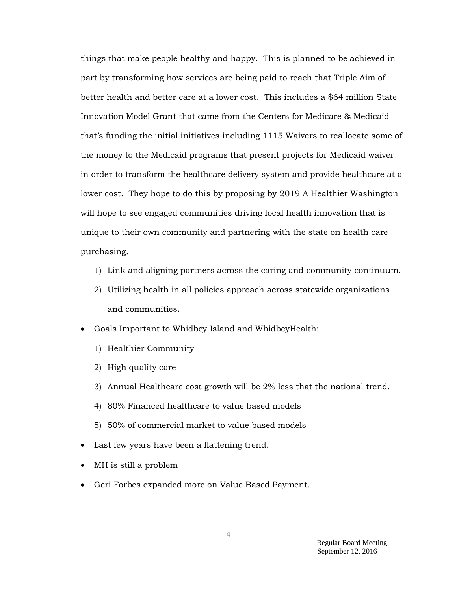things that make people healthy and happy. This is planned to be achieved in part by transforming how services are being paid to reach that Triple Aim of better health and better care at a lower cost. This includes a \$64 million State Innovation Model Grant that came from the Centers for Medicare & Medicaid that's funding the initial initiatives including 1115 Waivers to reallocate some of the money to the Medicaid programs that present projects for Medicaid waiver in order to transform the healthcare delivery system and provide healthcare at a lower cost. They hope to do this by proposing by 2019 A Healthier Washington will hope to see engaged communities driving local health innovation that is unique to their own community and partnering with the state on health care purchasing.

- 1) Link and aligning partners across the caring and community continuum.
- 2) Utilizing health in all policies approach across statewide organizations and communities.
- Goals Important to Whidbey Island and WhidbeyHealth:
	- 1) Healthier Community
	- 2) High quality care
	- 3) Annual Healthcare cost growth will be 2% less that the national trend.
	- 4) 80% Financed healthcare to value based models
	- 5) 50% of commercial market to value based models
- Last few years have been a flattening trend.
- MH is still a problem
- Geri Forbes expanded more on Value Based Payment.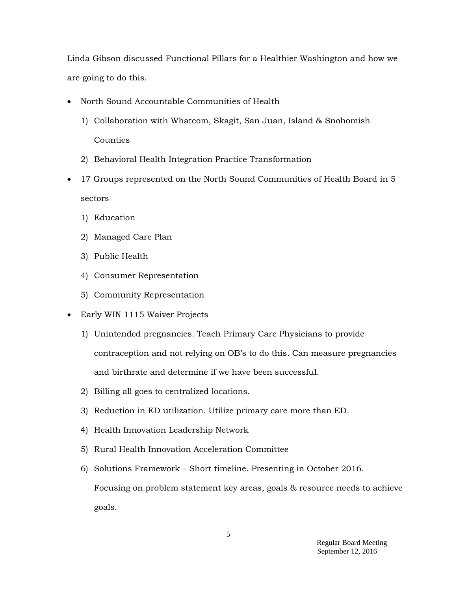Linda Gibson discussed Functional Pillars for a Healthier Washington and how we are going to do this.

- North Sound Accountable Communities of Health
	- 1) Collaboration with Whatcom, Skagit, San Juan, Island & Snohomish Counties
	- 2) Behavioral Health Integration Practice Transformation
- 17 Groups represented on the North Sound Communities of Health Board in 5 sectors
	- 1) Education
	- 2) Managed Care Plan
	- 3) Public Health
	- 4) Consumer Representation
	- 5) Community Representation
- Early WIN 1115 Waiver Projects
	- 1) Unintended pregnancies. Teach Primary Care Physicians to provide contraception and not relying on OB's to do this. Can measure pregnancies and birthrate and determine if we have been successful.
	- 2) Billing all goes to centralized locations.
	- 3) Reduction in ED utilization. Utilize primary care more than ED.
	- 4) Health Innovation Leadership Network
	- 5) Rural Health Innovation Acceleration Committee
	- 6) Solutions Framework Short timeline. Presenting in October 2016.

Focusing on problem statement key areas, goals & resource needs to achieve goals.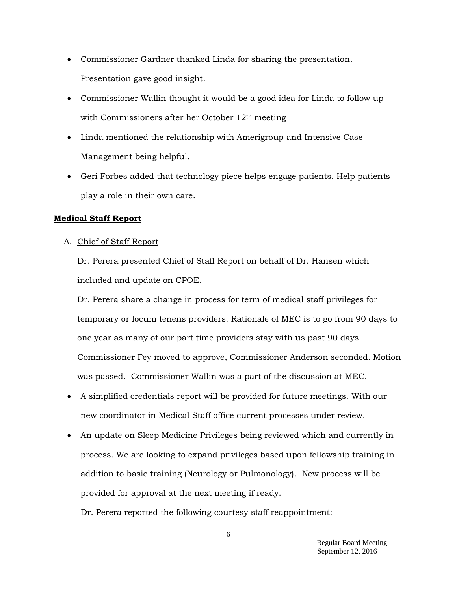- Commissioner Gardner thanked Linda for sharing the presentation. Presentation gave good insight.
- Commissioner Wallin thought it would be a good idea for Linda to follow up with Commissioners after her October 12th meeting
- Linda mentioned the relationship with Amerigroup and Intensive Case Management being helpful.
- Geri Forbes added that technology piece helps engage patients. Help patients play a role in their own care.

## **Medical Staff Report**

A. Chief of Staff Report

Dr. Perera presented Chief of Staff Report on behalf of Dr. Hansen which included and update on CPOE.

Dr. Perera share a change in process for term of medical staff privileges for temporary or locum tenens providers. Rationale of MEC is to go from 90 days to one year as many of our part time providers stay with us past 90 days. Commissioner Fey moved to approve, Commissioner Anderson seconded. Motion was passed. Commissioner Wallin was a part of the discussion at MEC.

- A simplified credentials report will be provided for future meetings. With our new coordinator in Medical Staff office current processes under review.
- An update on Sleep Medicine Privileges being reviewed which and currently in process. We are looking to expand privileges based upon fellowship training in addition to basic training (Neurology or Pulmonology). New process will be provided for approval at the next meeting if ready.

Dr. Perera reported the following courtesy staff reappointment: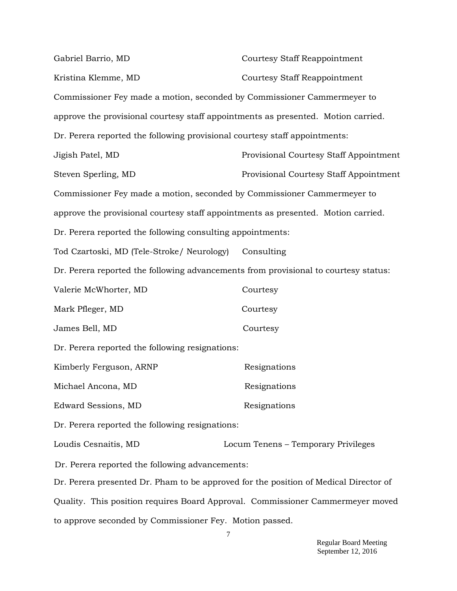| Gabriel Barrio, MD                                                                   | <b>Courtesy Staff Reappointment</b>    |
|--------------------------------------------------------------------------------------|----------------------------------------|
| Kristina Klemme, MD                                                                  | <b>Courtesy Staff Reappointment</b>    |
| Commissioner Fey made a motion, seconded by Commissioner Cammermeyer to              |                                        |
| approve the provisional courtesy staff appointments as presented. Motion carried.    |                                        |
| Dr. Perera reported the following provisional courtesy staff appointments:           |                                        |
| Jigish Patel, MD                                                                     | Provisional Courtesy Staff Appointment |
| Steven Sperling, MD                                                                  | Provisional Courtesy Staff Appointment |
| Commissioner Fey made a motion, seconded by Commissioner Cammermeyer to              |                                        |
| approve the provisional courtesy staff appointments as presented. Motion carried.    |                                        |
| Dr. Perera reported the following consulting appointments:                           |                                        |
| Tod Czartoski, MD (Tele-Stroke/ Neurology)                                           | Consulting                             |
| Dr. Perera reported the following advancements from provisional to courtesy status:  |                                        |
| Valerie McWhorter, MD                                                                | Courtesy                               |
| Mark Pfleger, MD                                                                     | Courtesy                               |
| James Bell, MD                                                                       | Courtesy                               |
| Dr. Perera reported the following resignations:                                      |                                        |
| Kimberly Ferguson, ARNP                                                              | Resignations                           |
| Michael Ancona, MD                                                                   | Resignations                           |
| Edward Sessions, MD                                                                  | Resignations                           |
| Dr. Perera reported the following resignations:                                      |                                        |
| Loudis Cesnaitis, MD                                                                 | Locum Tenens - Temporary Privileges    |
| Dr. Perera reported the following advancements:                                      |                                        |
| Dr. Perera presented Dr. Pham to be approved for the position of Medical Director of |                                        |
| Quality. This position requires Board Approval. Commissioner Cammermeyer moved       |                                        |
| to approve seconded by Commissioner Fey. Motion passed.                              |                                        |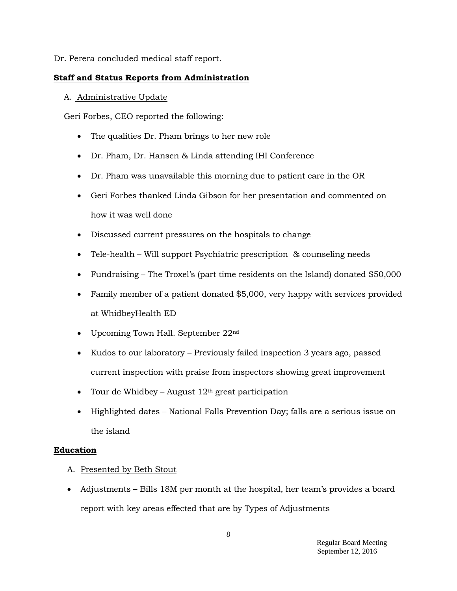Dr. Perera concluded medical staff report.

### **Staff and Status Reports from Administration**

### A. Administrative Update

Geri Forbes, CEO reported the following:

- The qualities Dr. Pham brings to her new role
- Dr. Pham, Dr. Hansen & Linda attending IHI Conference
- Dr. Pham was unavailable this morning due to patient care in the OR
- Geri Forbes thanked Linda Gibson for her presentation and commented on how it was well done
- Discussed current pressures on the hospitals to change
- Tele-health Will support Psychiatric prescription & counseling needs
- Fundraising The Troxel's (part time residents on the Island) donated \$50,000
- Family member of a patient donated \$5,000, very happy with services provided at WhidbeyHealth ED
- Upcoming Town Hall. September 22<sup>nd</sup>
- Kudos to our laboratory Previously failed inspection 3 years ago, passed current inspection with praise from inspectors showing great improvement
- Tour de Whidbey August  $12<sup>th</sup>$  great participation
- Highlighted dates National Falls Prevention Day; falls are a serious issue on the island

### **Education**

- A. Presented by Beth Stout
- Adjustments Bills 18M per month at the hospital, her team's provides a board report with key areas effected that are by Types of Adjustments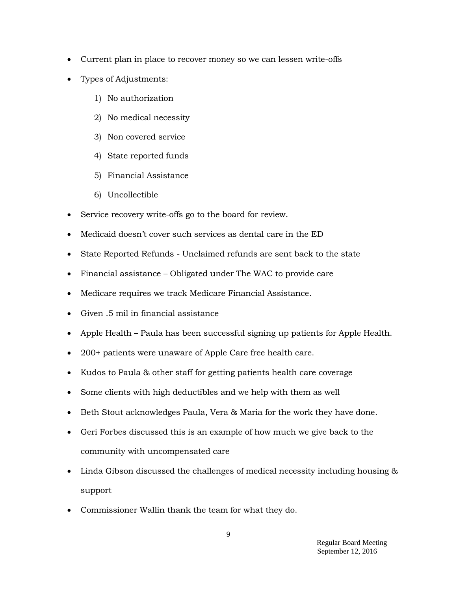- Current plan in place to recover money so we can lessen write-offs
- Types of Adjustments:
	- 1) No authorization
	- 2) No medical necessity
	- 3) Non covered service
	- 4) State reported funds
	- 5) Financial Assistance
	- 6) Uncollectible
- Service recovery write-offs go to the board for review.
- Medicaid doesn't cover such services as dental care in the ED
- State Reported Refunds Unclaimed refunds are sent back to the state
- Financial assistance Obligated under The WAC to provide care
- Medicare requires we track Medicare Financial Assistance.
- Given .5 mil in financial assistance
- Apple Health Paula has been successful signing up patients for Apple Health.
- 200+ patients were unaware of Apple Care free health care.
- Kudos to Paula & other staff for getting patients health care coverage
- Some clients with high deductibles and we help with them as well
- Beth Stout acknowledges Paula, Vera & Maria for the work they have done.
- Geri Forbes discussed this is an example of how much we give back to the community with uncompensated care
- Linda Gibson discussed the challenges of medical necessity including housing  $\&$ support
- Commissioner Wallin thank the team for what they do.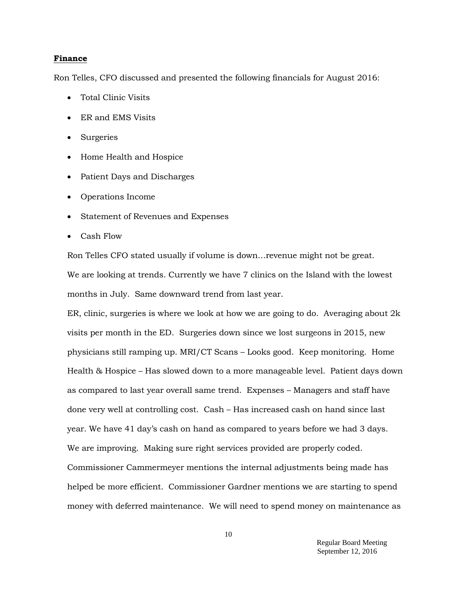#### **Finance**

Ron Telles, CFO discussed and presented the following financials for August 2016:

- Total Clinic Visits
- ER and EMS Visits
- Surgeries
- Home Health and Hospice
- Patient Days and Discharges
- Operations Income
- Statement of Revenues and Expenses
- Cash Flow

Ron Telles CFO stated usually if volume is down…revenue might not be great. We are looking at trends. Currently we have 7 clinics on the Island with the lowest months in July. Same downward trend from last year.

ER, clinic, surgeries is where we look at how we are going to do. Averaging about 2k visits per month in the ED. Surgeries down since we lost surgeons in 2015, new physicians still ramping up. MRI/CT Scans – Looks good. Keep monitoring. Home Health & Hospice – Has slowed down to a more manageable level. Patient days down as compared to last year overall same trend. Expenses – Managers and staff have done very well at controlling cost. Cash – Has increased cash on hand since last year. We have 41 day's cash on hand as compared to years before we had 3 days. We are improving. Making sure right services provided are properly coded. Commissioner Cammermeyer mentions the internal adjustments being made has helped be more efficient. Commissioner Gardner mentions we are starting to spend money with deferred maintenance. We will need to spend money on maintenance as